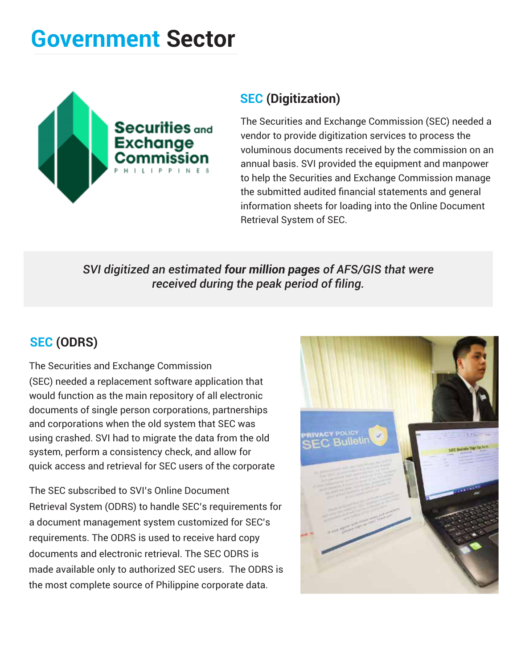# **Government Sector**



## **SEC (Digitization)**

The Securities and Exchange Commission (SEC) needed a vendor to provide digitization services to process the voluminous documents received by the commission on an annual basis. SVI provided the equipment and manpower to help the Securities and Exchange Commission manage the submitted audited financial statements and general information sheets for loading into the Online Document Retrieval System of SEC.

*SVI digitized an estimated four million pages of AFS/GIS that were received during the peak period of filing.* 

### **SEC (ODRS)**

The Securities and Exchange Commission (SEC) needed a replacement software application that would function as the main repository of all electronic documents of single person corporations, partnerships and corporations when the old system that SEC was using crashed. SVI had to migrate the data from the old system, perform a consistency check, and allow for quick access and retrieval for SEC users of the corporate

The SEC subscribed to SVI's Online Document Retrieval System (ODRS) to handle SEC's requirements for a document management system customized for SEC's requirements. The ODRS is used to receive hard copy documents and electronic retrieval. The SEC ODRS is made available only to authorized SEC users. The ODRS is the most complete source of Philippine corporate data.

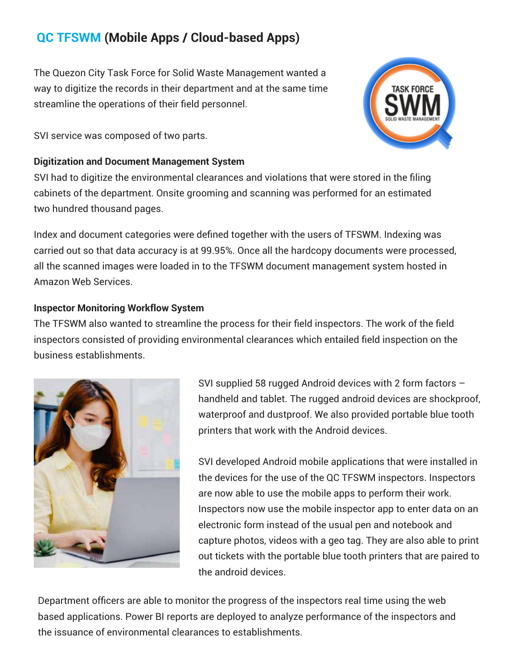# **QC TFSWM (Mobile Apps / Cloud-based Apps)**

The Quezon City Task Force for Solid Waste Management wanted a way to digitize the records in their department and at the same time streamline the operations of their field personnel.

SVI service was composed of two parts.

#### **Digitization and Document Management System**

SVI had to digitize the environmental clearances and violations that were stored in the filing cabinets of the department. Onsite grooming and scanning was performed for an estimated two hundred thousand pages.

Index and document categories were defined together with the users of TFSWM. Indexing was carried out so that data accuracy is at 99.95%. Once all the hardcopy documents were processed, all the scanned images were loaded in to the TFSWM document management system hosted in Amazon Web Services.

#### **Inspector Monitoring Workflow System**

The TFSWM also wanted to streamline the process for their field inspectors. The work of the field inspectors consisted of providing environmental clearances which entailed field inspection on the business establishments.



SVI supplied 58 rugged Android devices with 2 form factors – handheld and tablet. The rugged android devices are shockproof, waterproof and dustproof. We also provided portable blue tooth printers that work with the Android devices.

SVI developed Android mobile applications that were installed in the devices for the use of the QC TFSWM inspectors. Inspectors are now able to use the mobile apps to perform their work. Inspectors now use the mobile inspector app to enter data on an electronic form instead of the usual pen and notebook and capture photos, videos with a geo tag. They are also able to print out tickets with the portable blue tooth printers that are paired to the android devices.

Department officers are able to monitor the progress of the inspectors real time using the web based applications. Power BI reports are deployed to analyze performance of the inspectors and the issuance of environmental clearances to establishments.